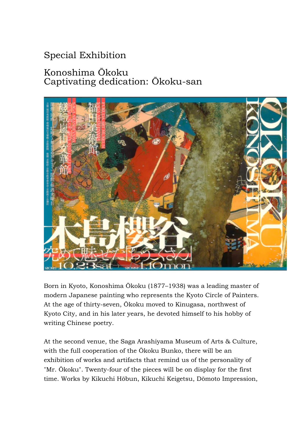## Special Exhibition

## Konoshima Ōkoku Captivating dedication: Ōkoku-san



Born in Kyoto, Konoshima Ōkoku (1877–1938) was a leading master of modern Japanese painting who represents the Kyoto Circle of Painters. At the age of thirty-seven, Ōkoku moved to Kinugasa, northwest of Kyoto City, and in his later years, he devoted himself to his hobby of writing Chinese poetry.

At the second venue, the Saga Arashiyama Museum of Arts & Culture, with the full cooperation of the Ōkoku Bunko, there will be an exhibition of works and artifacts that remind us of the personality of "Mr. Ōkoku". Twenty-four of the pieces will be on display for the first time. Works by Kikuchi Hōbun, Kikuchi Keigetsu, Dōmoto Impression,